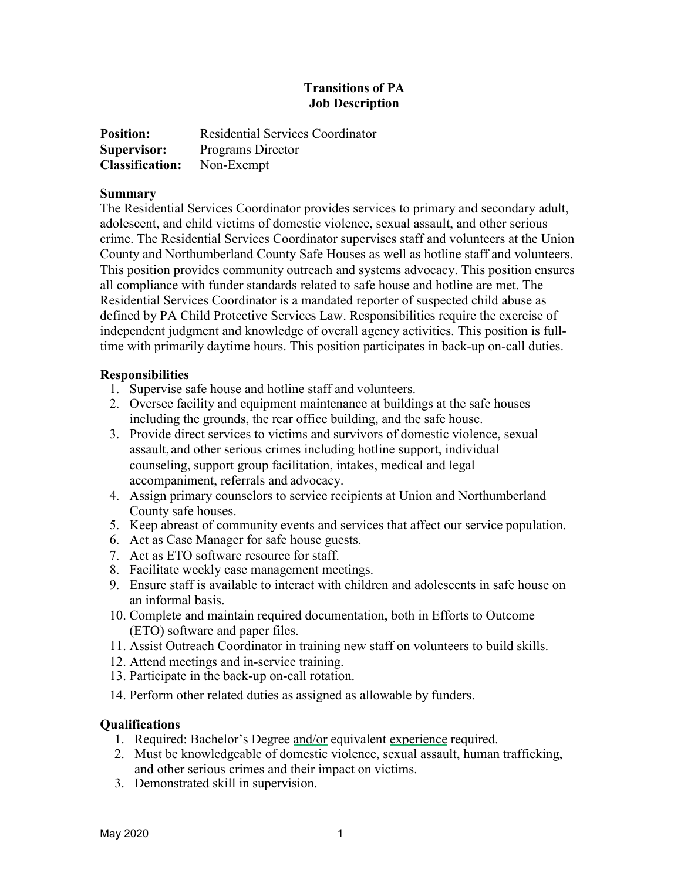## **Transitions of PA Job Description**

| <b>Position:</b>                  | <b>Residential Services Coordinator</b> |
|-----------------------------------|-----------------------------------------|
| Supervisor:                       | Programs Director                       |
| <b>Classification:</b> Non-Exempt |                                         |

## **Summary**

The Residential Services Coordinator provides services to primary and secondary adult, adolescent, and child victims of domestic violence, sexual assault, and other serious crime. The Residential Services Coordinator supervises staff and volunteers at the Union County and Northumberland County Safe Houses as well as hotline staff and volunteers. This position provides community outreach and systems advocacy. This position ensures all compliance with funder standards related to safe house and hotline are met. The Residential Services Coordinator is a mandated reporter of suspected child abuse as defined by PA Child Protective Services Law. Responsibilities require the exercise of independent judgment and knowledge of overall agency activities. This position is fulltime with primarily daytime hours. This position participates in back-up on-call duties.

## **Responsibilities**

- 1. Supervise safe house and hotline staff and volunteers.
- 2. Oversee facility and equipment maintenance at buildings at the safe houses including the grounds, the rear office building, and the safe house.
- 3. Provide direct services to victims and survivors of domestic violence, sexual assault, and other serious crimes including hotline support, individual counseling, support group facilitation, intakes, medical and legal accompaniment, referrals and advocacy.
- 4. Assign primary counselors to service recipients at Union and Northumberland County safe houses.
- 5. Keep abreast of community events and services that affect our service population.
- 6. Act as Case Manager for safe house guests.
- 7. Act as ETO software resource for staff.
- 8. Facilitate weekly case management meetings.
- 9. Ensure staff is available to interact with children and adolescents in safe house on an informal basis.
- 10. Complete and maintain required documentation, both in Efforts to Outcome (ETO) software and paper files.
- 11. Assist Outreach Coordinator in training new staff on volunteers to build skills.
- 12. Attend meetings and in-service training.
- 13. Participate in the back-up on-call rotation.
- 14. Perform other related duties as assigned as allowable by funders.

## **Qualifications**

- 1. Required: Bachelor's Degree and/or equivalent experience required.
- 2. Must be knowledgeable of domestic violence, sexual assault, human trafficking, and other serious crimes and their impact on victims.
- 3. Demonstrated skill in supervision.